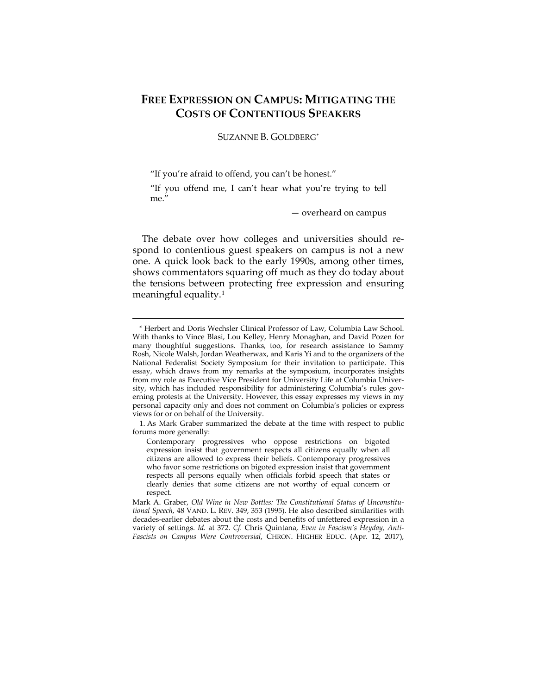# **FREE EXPRESSION ON CAMPUS: MITIGATING THE COSTS OF CONTENTIOUS SPEAKERS**

SUZANNE B. GOLDBERG[\\*](#page-0-0)

"If you're afraid to offend, you can't be honest."

 $\overline{a}$ 

"If you offend me, I can't hear what you're trying to tell me."

— overheard on campus

The debate over how colleges and universities should respond to contentious guest speakers on campus is not a new one. A quick look back to the early 1990s, among other times, shows commentators squaring off much as they do today about the tensions between protecting free expression and ensuring meaningful equality.[1](#page-0-1)

<span id="page-0-0"></span><sup>\*</sup> Herbert and Doris Wechsler Clinical Professor of Law, Columbia Law School. With thanks to Vince Blasi, Lou Kelley, Henry Monaghan, and David Pozen for many thoughtful suggestions. Thanks, too, for research assistance to Sammy Rosh, Nicole Walsh, Jordan Weatherwax, and Karis Yi and to the organizers of the National Federalist Society Symposium for their invitation to participate. This essay, which draws from my remarks at the symposium, incorporates insights from my role as Executive Vice President for University Life at Columbia University, which has included responsibility for administering Columbia's rules governing protests at the University. However, this essay expresses my views in my personal capacity only and does not comment on Columbia's policies or express views for or on behalf of the University.

<span id="page-0-1"></span><sup>1.</sup> As Mark Graber summarized the debate at the time with respect to public forums more generally:

Contemporary progressives who oppose restrictions on bigoted expression insist that government respects all citizens equally when all citizens are allowed to express their beliefs. Contemporary progressives who favor some restrictions on bigoted expression insist that government respects all persons equally when officials forbid speech that states or clearly denies that some citizens are not worthy of equal concern or respect.

Mark A. Graber, *Old Wine in New Bottles: The Constitutional Status of Unconstitutional Speech*, 48 VAND. L. REV. 349, 353 (1995). He also described similarities with decades-earlier debates about the costs and benefits of unfettered expression in a variety of settings. *Id.* at 372. *Cf.* Chris Quintana, *Even in Fascism's Heyday, Anti-Fascists on Campus Were Controversial*, CHRON. HIGHER EDUC. (Apr. 12, 2017),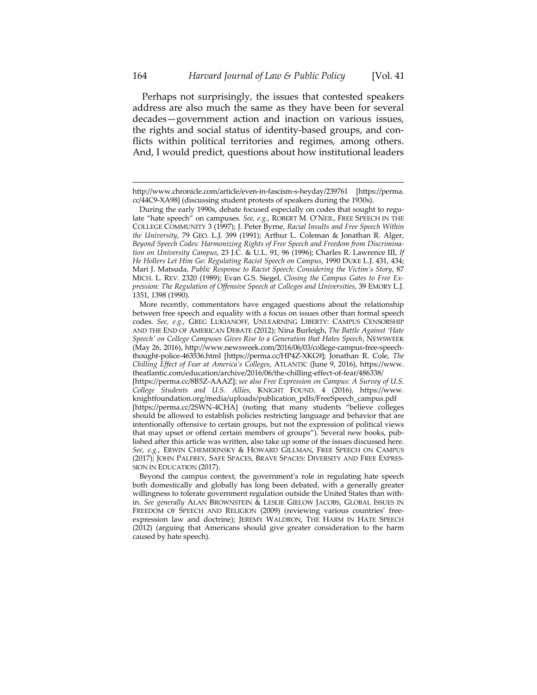Perhaps not surprisingly, the issues that contested speakers address are also much the same as they have been for several decades—government action and inaction on various issues, the rights and social status of identity-based groups, and conflicts within political territories and regimes, among others. And, I would predict, questions about how institutional leaders

http://www.chronicle.com/article/even-in-fascism-s-heyday/239761 [https://perma. cc/44C9-XA98] (discussing student protests of speakers during the 1930s).

During the early 1990s, debate focused especially on codes that sought to regulate "hate speech" on campuses. *See, e.g.*, ROBERT M. O'NEIL, FREE SPEECH IN THE COLLEGE COMMUNITY 3 (1997); J. Peter Byrne, *Racial Insults and Free Speech Within the University*, 79 GEO. L.J. 399 (1991); Arthur L. Coleman & Jonathan R. Alger, *Beyond Speech Codes: Harmonizing Rights of Free Speech and Freedom from Discrimination on University Campus*, 23 J.C. & U.L. 91, 96 (1996); Charles R. Lawrence III, *If He Hollers Let Him Go: Regulating Racist Speech on Campus*, 1990 DUKE L.J. 431, 434; Mari J. Matsuda, *Public Response to Racist Speech: Considering the Victim's Story*, 87 MICH. L. REV. 2320 (1989); Evan G.S. Siegel, *Closing the Campus Gates to Free Expression: The Regulation of Offensive Speech at Colleges and Universities*, 39 EMORY L.J. 1351, 1398 (1990).

More recently, commentators have engaged questions about the relationship between free speech and equality with a focus on issues other than formal speech codes. *See, e.g.*, GREG LUKIANOFF, UNLEARNING LIBERTY: CAMPUS CENSORSHIP AND THE END OF AMERICAN DEBATE (2012); Nina Burleigh, *The Battle Against 'Hate Speech' on College Campuses Gives Rise to a Generation that Hates Speech*, NEWSWEEK (May 26, 2016), http://www.newsweek.com/2016/06/03/college-campus-free-speechthought-police-463536.html [https://perma.cc/HP4Z-XKG9]; Jonathan R. Cole, *The Chilling Effect of Fear at America's Colleges*, ATLANTIC (June 9, 2016), https://www. theatlantic.com/education/archive/2016/06/the-chilling-effect-of-fear/486338/

<sup>[</sup>https://perma.cc/8B5Z-AAAZ]; *see also Free Expression on Campus: A Survey of U.S. College Students and U.S. Allies*, KNIGHT FOUND. 4 (2016), https://www. knightfoundation.org/media/uploads/publication\_pdfs/FreeSpeech\_campus.pdf [https://perma.cc/2SWN-4CHA] (noting that many students "believe colleges should be allowed to establish policies restricting language and behavior that are intentionally offensive to certain groups, but not the expression of political views that may upset or offend certain members of groups"). Several new books, published after this article was written, also take up some of the issues discussed here. *See, e.g.*, ERWIN CHEMERINSKY & HOWARD GILLMAN, FREE SPEECH ON CAMPUS (2017); JOHN PALFREY, SAFE SPACES, BRAVE SPACES: DIVERSITY AND FREE EXPRES-SION IN EDUCATION (2017).

Beyond the campus context, the government's role in regulating hate speech both domestically and globally has long been debated, with a generally greater willingness to tolerate government regulation outside the United States than within. *See generally* ALAN BROWNSTEIN & LESLIE GIELOW JACOBS, GLOBAL ISSUES IN FREEDOM OF SPEECH AND RELIGION (2009) (reviewing various countries' freeexpression law and doctrine); JEREMY WALDRON, THE HARM IN HATE SPEECH (2012) (arguing that Americans should give greater consideration to the harm caused by hate speech).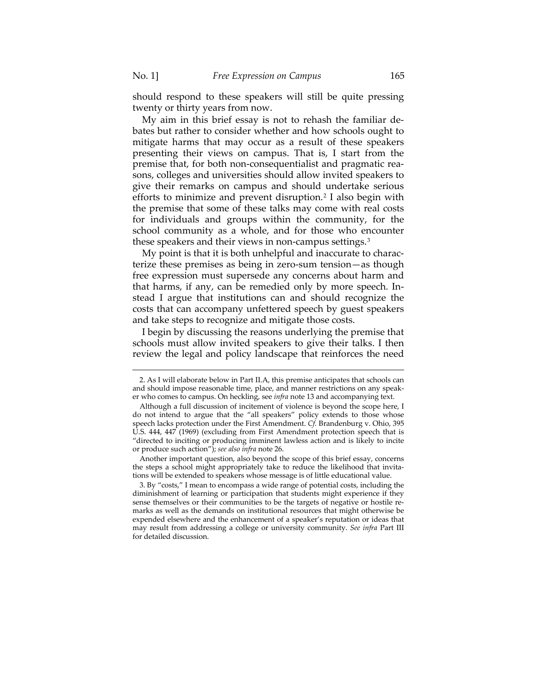should respond to these speakers will still be quite pressing twenty or thirty years from now.

My aim in this brief essay is not to rehash the familiar debates but rather to consider whether and how schools ought to mitigate harms that may occur as a result of these speakers presenting their views on campus. That is, I start from the premise that, for both non-consequentialist and pragmatic reasons, colleges and universities should allow invited speakers to give their remarks on campus and should undertake serious efforts to minimize and prevent disruption.<sup>[2](#page-2-0)</sup> I also begin with the premise that some of these talks may come with real costs for individuals and groups within the community, for the school community as a whole, and for those who encounter these speakers and their views in non-campus settings.[3](#page-2-1)

<span id="page-2-2"></span>My point is that it is both unhelpful and inaccurate to characterize these premises as being in zero-sum tension—as though free expression must supersede any concerns about harm and that harms, if any, can be remedied only by more speech. Instead I argue that institutions can and should recognize the costs that can accompany unfettered speech by guest speakers and take steps to recognize and mitigate those costs.

I begin by discussing the reasons underlying the premise that schools must allow invited speakers to give their talks. I then review the legal and policy landscape that reinforces the need

Another important question, also beyond the scope of this brief essay, concerns the steps a school might appropriately take to reduce the likelihood that invitations will be extended to speakers whose message is of little educational value.

<span id="page-2-0"></span><sup>2.</sup> As I will elaborate below in Part II.A, this premise anticipates that schools can and should impose reasonable time, place, and manner restrictions on any speaker who comes to campus. On heckling, see *infra* note 13 and accompanying text.

Although a full discussion of incitement of violence is beyond the scope here, I do not intend to argue that the "all speakers" policy extends to those whose speech lacks protection under the First Amendment. *Cf.* Brandenburg v. Ohio, 395 U.S. 444, 447 (1969) (excluding from First Amendment protection speech that is "directed to inciting or producing imminent lawless action and is likely to incite or produce such action"); *see also infra* not[e 26.](#page-9-0)

<span id="page-2-1"></span><sup>3.</sup> By "costs," I mean to encompass a wide range of potential costs, including the diminishment of learning or participation that students might experience if they sense themselves or their communities to be the targets of negative or hostile remarks as well as the demands on institutional resources that might otherwise be expended elsewhere and the enhancement of a speaker's reputation or ideas that may result from addressing a college or university community. *See infra* Part III for detailed discussion.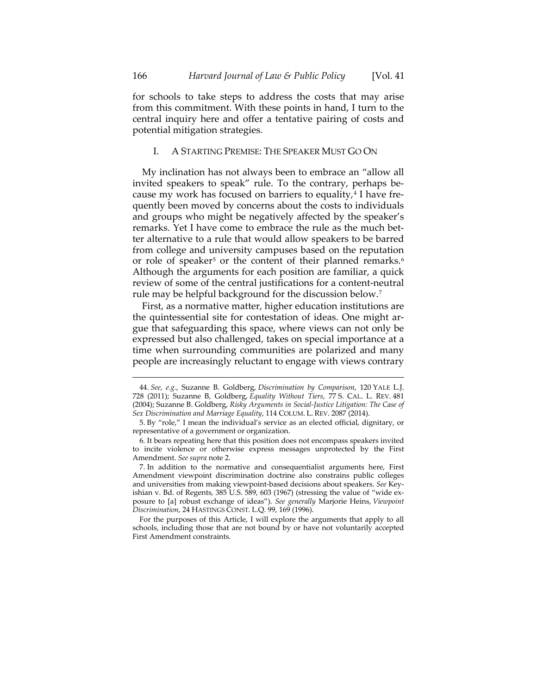for schools to take steps to address the costs that may arise from this commitment. With these points in hand, I turn to the central inquiry here and offer a tentative pairing of costs and potential mitigation strategies.

## I. A STARTING PREMISE: THE SPEAKER MUST GO ON

My inclination has not always been to embrace an "allow all invited speakers to speak" rule. To the contrary, perhaps because my work has focused on barriers to equality, $4$  I have frequently been moved by concerns about the costs to individuals and groups who might be negatively affected by the speaker's remarks. Yet I have come to embrace the rule as the much better alternative to a rule that would allow speakers to be barred from college and university campuses based on the reputation or role of speaker<sup>[5](#page-3-1)</sup> or the content of their planned remarks.<sup>[6](#page-3-2)</sup> Although the arguments for each position are familiar, a quick review of some of the central justifications for a content-neutral rule may be helpful background for the discussion below.<sup>[7](#page-3-3)</sup>

First, as a normative matter, higher education institutions are the quintessential site for contestation of ideas. One might argue that safeguarding this space, where views can not only be expressed but also challenged, takes on special importance at a time when surrounding communities are polarized and many people are increasingly reluctant to engage with views contrary

<span id="page-3-0"></span><sup>44.</sup> *See, e.g.*, Suzanne B. Goldberg, *Discrimination by Comparison*, 120 YALE L.J. 728 (2011); Suzanne B, Goldberg, *Equality Without Tiers*, 77 S. CAL. L. REV. 481 (2004); Suzanne B. Goldberg, *Risky Arguments in Social-Justice Litigation: The Case of Sex Discrimination and Marriage Equality*, 114 COLUM. L. REV. 2087 (2014).

<span id="page-3-1"></span><sup>5.</sup> By "role," I mean the individual's service as an elected official, dignitary, or representative of a government or organization.

<span id="page-3-2"></span><sup>6.</sup> It bears repeating here that this position does not encompass speakers invited to incite violence or otherwise express messages unprotected by the First Amendment. *See supra* not[e 2.](#page-2-2) 

<span id="page-3-3"></span><sup>7.</sup> In addition to the normative and consequentialist arguments here, First Amendment viewpoint discrimination doctrine also constrains public colleges and universities from making viewpoint-based decisions about speakers. *See* Keyishian v. Bd. of Regents, 385 U.S. 589, 603 (1967) (stressing the value of "wide exposure to [a] robust exchange of ideas"). *See generally* Marjorie Heins, *Viewpoint Discrimination*, 24 HASTINGS CONST. L.Q. 99, 169 (1996).

For the purposes of this Article, I will explore the arguments that apply to all schools, including those that are not bound by or have not voluntarily accepted First Amendment constraints.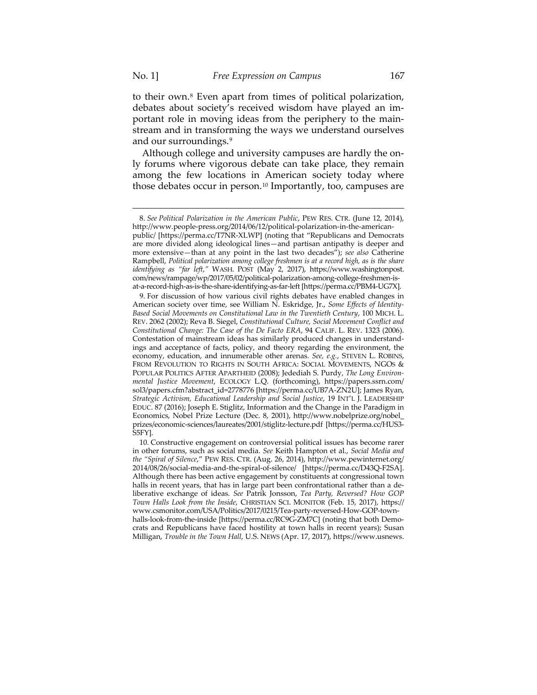to their own.[8](#page-4-0) Even apart from times of political polarization, debates about society's received wisdom have played an important role in moving ideas from the periphery to the mainstream and in transforming the ways we understand ourselves and our surroundings.[9](#page-4-1)

Although college and university campuses are hardly the only forums where vigorous debate can take place, they remain among the few locations in American society today where those debates occur in person.[10](#page-4-2) Importantly, too, campuses are

<span id="page-4-0"></span><sup>8.</sup> *See Political Polarization in the American Public*, PEW RES. CTR. (June 12, 2014), http://www.people-press.org/2014/06/12/political-polarization-in-the-americanpublic/ [https://perma.cc/T7NR-XLWP] (noting that "Republicans and Democrats are more divided along ideological lines—and partisan antipathy is deeper and more extensive—than at any point in the last two decades"); *see also* Catherine Rampbell, *Political polarization among college freshmen is at a record high, as is the share identifying as "far left*,*"* WASH. POST (May 2, 2017), https://www.washingtonpost. com/news/rampage/wp/2017/05/02/political-polarization-among-college-freshmen-isat-a-record-high-as-is-the-share-identifying-as-far-left [https://perma.cc/PBM4-UG7X].

<span id="page-4-1"></span><sup>9.</sup> For discussion of how various civil rights debates have enabled changes in American society over time, see William N. Eskridge, Jr., *Some Effects of Identity-Based Social Movements on Constitutional Law in the Twentieth Century*, 100 MICH. L. REV. 2062 (2002); Reva B. Siegel, *Constitutional Culture, Social Movement Conflict and Constitutional Change: The Case of the De Facto ERA*, 94 CALIF. L. REV. 1323 (2006). Contestation of mainstream ideas has similarly produced changes in understandings and acceptance of facts, policy, and theory regarding the environment, the economy, education, and innumerable other arenas. *See, e.g.*, STEVEN L. ROBINS, FROM REVOLUTION TO RIGHTS IN SOUTH AFRICA: SOCIAL MOVEMENTS, NGOS & POPULAR POLITICS AFTER APARTHEID (2008); Jedediah S. Purdy, *The Long Environmental Justice Movement*, ECOLOGY L.Q. (forthcoming), https://papers.ssrn.com/ sol3/papers.cfm?abstract\_id=2778776 [https://perma.cc/UB7A-ZN2U]; James Ryan, *Strategic Activism, Educational Leadership and Social Justice*, 19 INT'L J. LEADERSHIP EDUC. 87 (2016); Joseph E. Stiglitz, Information and the Change in the Paradigm in Economics, Nobel Prize Lecture (Dec. 8, 2001), http://www.nobelprize.org/nobel\_ prizes/economic-sciences/laureates/2001/stiglitz-lecture.pdf [https://perma.cc/HUS3- S5FY].

<span id="page-4-2"></span><sup>10.</sup> Constructive engagement on controversial political issues has become rarer in other forums, such as social media. *See* Keith Hampton et al., *Social Media and the "Spiral of Silence*," PEW RES. CTR. (Aug. 26, 2014), http://www.pewinternet.org/ 2014/08/26/social-media-and-the-spiral-of-silence/ [https://perma.cc/D43Q-F2SA]. Although there has been active engagement by constituents at congressional town halls in recent years, that has in large part been confrontational rather than a deliberative exchange of ideas. *See* Patrik Jonsson, *Tea Party, Reversed? How GOP Town Halls Look from the Inside*, CHRISTIAN SCI. MONITOR (Feb. 15, 2017), https:// www.csmonitor.com/USA/Politics/2017/0215/Tea-party-reversed-How-GOP-townhalls-look-from-the-inside [https://perma.cc/RC9G-ZM7C] (noting that both Democrats and Republicans have faced hostility at town halls in recent years); Susan Milligan, *Trouble in the Town Hall*, U.S. NEWS (Apr. 17, 2017), https://www.usnews.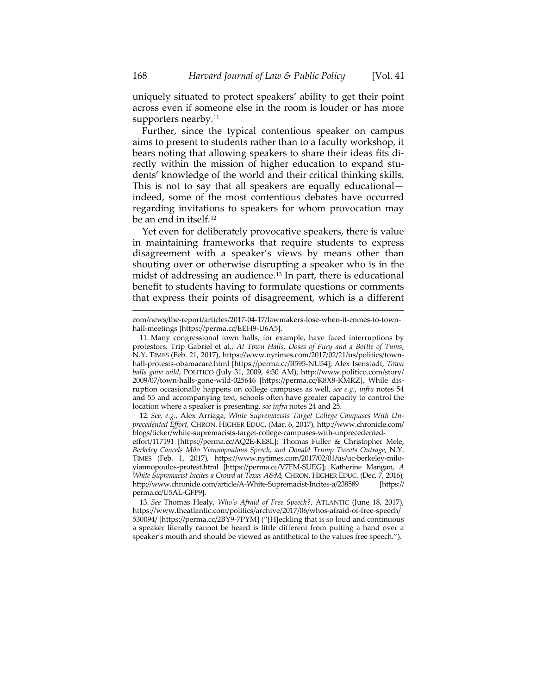uniquely situated to protect speakers' ability to get their point across even if someone else in the room is louder or has more supporters nearby.<sup>[11](#page-5-0)</sup>

Further, since the typical contentious speaker on campus aims to present to students rather than to a faculty workshop, it bears noting that allowing speakers to share their ideas fits directly within the mission of higher education to expand students' knowledge of the world and their critical thinking skills. This is not to say that all speakers are equally educational indeed, some of the most contentious debates have occurred regarding invitations to speakers for whom provocation may be an end in itself.<sup>[12](#page-5-1)</sup>

Yet even for deliberately provocative speakers, there is value in maintaining frameworks that require students to express disagreement with a speaker's views by means other than shouting over or otherwise disrupting a speaker who is in the midst of addressing an audience.[13](#page-5-2) In part, there is educational benefit to students having to formulate questions or comments that express their points of disagreement, which is a different

<span id="page-5-1"></span>12. *See, e.g.*, Alex Arriaga, *White Supremacists Target College Campuses With Unprecedented Effort*, CHRON. HIGHER EDUC. (Mar. 6, 2017), http://www.chronicle.com/ blogs/ticker/white-supremacists-target-college-campuses-with-unprecedentedeffort/117191 [https://perma.cc/AQ2E-KE8L]; Thomas Fuller & Christopher Mele, *Berkeley Cancels Milo Yiannopoulous Speech, and Donald Trump Tweets Outrage*, N.Y. TIMES (Feb. 1, 2017), https://www.nytimes.com/2017/02/01/us/uc-berkeley-miloyiannopoulos-protest.html [https://perma.cc/V7FM-SUEG]; Katherine Mangan, *A White Supremacist Incites a Crowd at Texas A&M*, CHRON. HIGHER EDUC. (Dec. 7, 2016), http://www.chronicle.com/article/A-White-Supremacist-Incites-a/238589 [https:// perma.cc/U5AL-GFP9].

<span id="page-5-2"></span>13. *See* Thomas Healy, *Who's Afraid of Free Speech?*, ATLANTIC (June 18, 2017), https://www.theatlantic.com/politics/archive/2017/06/whos-afraid-of-free-speech/ 530094/ [https://perma.cc/2BY9-7PYM] ("[H]eckling that is so loud and continuous a speaker literally cannot be heard is little different from putting a hand over a speaker's mouth and should be viewed as antithetical to the values free speech.").

com/news/the-report/articles/2017-04-17/lawmakers-lose-when-it-comes-to-townhall-meetings [https://perma.cc/EEH9-U6A5].

<span id="page-5-0"></span><sup>11.</sup> Many congressional town halls, for example, have faced interruptions by protestors. Trip Gabriel et al., *At Town Halls, Doses of Fury and a Bottle of Tums*, N.Y. TIMES (Feb. 21, 2017), https://www.nytimes.com/2017/02/21/us/politics/townhall-protests-obamacare.html [https://perma.cc/B595-NU54]; Alex Isenstadt, *Town halls gone wild*, POLITICO (July 31, 2009, 4:30 AM), http://www.politico.com/story/ 2009/07/town-halls-gone-wild-025646 [https://perma.cc/K8X8-KMRZ]. While disruption occasionally happens on college campuses as well, *see e.g.*, *infra* notes 54 and 55 and accompanying text, schools often have greater capacity to control the location where a speaker is presenting, *see infra* notes 24 and 25.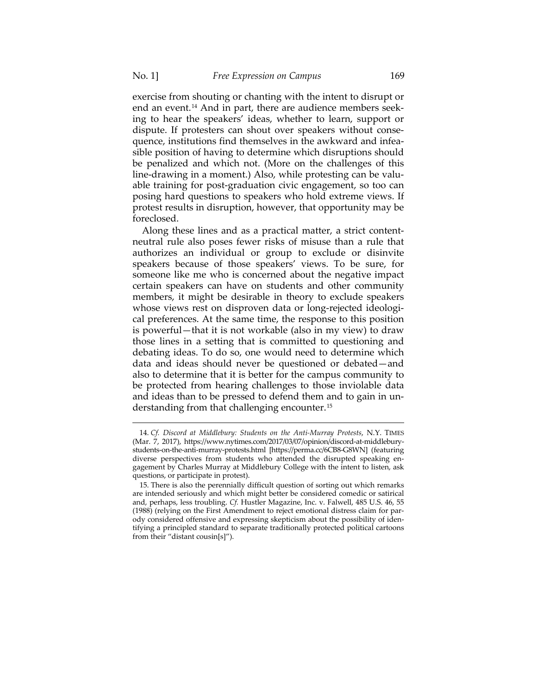exercise from shouting or chanting with the intent to disrupt or end an event.<sup>[14](#page-6-0)</sup> And in part, there are audience members seeking to hear the speakers' ideas, whether to learn, support or dispute. If protesters can shout over speakers without consequence, institutions find themselves in the awkward and infeasible position of having to determine which disruptions should be penalized and which not. (More on the challenges of this line-drawing in a moment.) Also, while protesting can be valuable training for post-graduation civic engagement, so too can posing hard questions to speakers who hold extreme views. If protest results in disruption, however, that opportunity may be foreclosed.

Along these lines and as a practical matter, a strict contentneutral rule also poses fewer risks of misuse than a rule that authorizes an individual or group to exclude or disinvite speakers because of those speakers' views. To be sure, for someone like me who is concerned about the negative impact certain speakers can have on students and other community members, it might be desirable in theory to exclude speakers whose views rest on disproven data or long-rejected ideological preferences. At the same time, the response to this position is powerful—that it is not workable (also in my view) to draw those lines in a setting that is committed to questioning and debating ideas. To do so, one would need to determine which data and ideas should never be questioned or debated—and also to determine that it is better for the campus community to be protected from hearing challenges to those inviolable data and ideas than to be pressed to defend them and to gain in understanding from that challenging encounter.[15](#page-6-1)

<span id="page-6-0"></span><sup>14.</sup> *Cf. Discord at Middlebury: Students on the Anti-Murray Protests*, N.Y. TIMES (Mar. 7, 2017), https://www.nytimes.com/2017/03/07/opinion/discord-at-middleburystudents-on-the-anti-murray-protests.html [https://perma.cc/6CB8-G8WN] (featuring diverse perspectives from students who attended the disrupted speaking engagement by Charles Murray at Middlebury College with the intent to listen, ask questions, or participate in protest).

<span id="page-6-1"></span><sup>15.</sup> There is also the perennially difficult question of sorting out which remarks are intended seriously and which might better be considered comedic or satirical and, perhaps, less troubling. *Cf.* Hustler Magazine, Inc. v. Falwell, 485 U.S. 46, 55 (1988) (relying on the First Amendment to reject emotional distress claim for parody considered offensive and expressing skepticism about the possibility of identifying a principled standard to separate traditionally protected political cartoons from their "distant cousin[s]").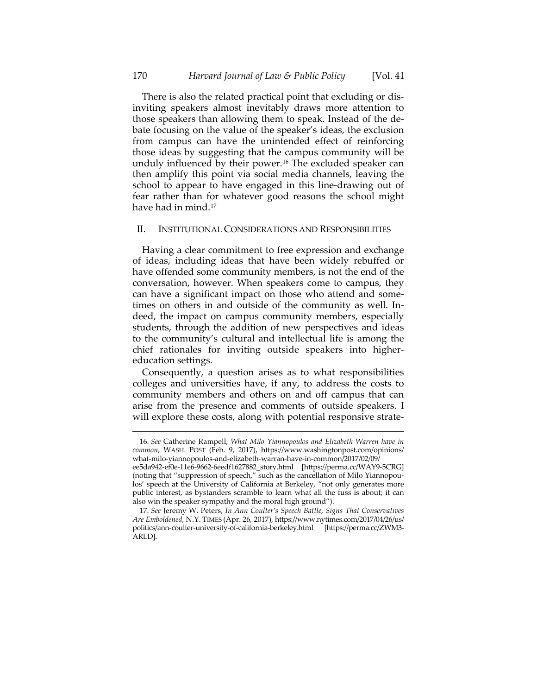There is also the related practical point that excluding or disinviting speakers almost inevitably draws more attention to those speakers than allowing them to speak. Instead of the debate focusing on the value of the speaker's ideas, the exclusion from campus can have the unintended effect of reinforcing those ideas by suggesting that the campus community will be unduly influenced by their power.<sup>[16](#page-7-0)</sup> The excluded speaker can then amplify this point via social media channels, leaving the school to appear to have engaged in this line-drawing out of fear rather than for whatever good reasons the school might have had in mind.<sup>[17](#page-7-1)</sup>

#### II. INSTITUTIONAL CONSIDERATIONS AND RESPONSIBILITIES

Having a clear commitment to free expression and exchange of ideas, including ideas that have been widely rebuffed or have offended some community members, is not the end of the conversation, however. When speakers come to campus, they can have a significant impact on those who attend and sometimes on others in and outside of the community as well. Indeed, the impact on campus community members, especially students, through the addition of new perspectives and ideas to the community's cultural and intellectual life is among the chief rationales for inviting outside speakers into highereducation settings.

Consequently, a question arises as to what responsibilities colleges and universities have, if any, to address the costs to community members and others on and off campus that can arise from the presence and comments of outside speakers. I will explore these costs, along with potential responsive strate-

 $\overline{a}$ 

ARLD].

<span id="page-7-0"></span><sup>16.</sup> *See* Catherine Rampell, *What Milo Yiannopoulos and Elizabeth Warren have in common*, WASH. POST (Feb. 9, 2017), https://www.washingtonpost.com/opinions/ what-milo-yiannopoulos-and-elizabeth-warran-have-in-common/2017/02/09/ ee5da942-ef0e-11e6-9662-6eedf1627882\_story.html [https://perma.cc/WAY9-5CRG] (noting that "suppression of speech," such as the cancellation of Milo Yiannopoulos' speech at the University of California at Berkeley, "not only generates more

<span id="page-7-1"></span>public interest, as bystanders scramble to learn what all the fuss is about; it can also win the speaker sympathy and the moral high ground"). 17. *See* Jeremy W. Peters, *In Ann Coulter's Speech Battle, Signs That Conservatives Are Emboldened*, N.Y. TIMES (Apr. 26, 2017), https://www.nytimes.com/2017/04/26/us/ politics/ann-coulter-university-of-california-berkeley.html [https://perma.cc/ZWM3-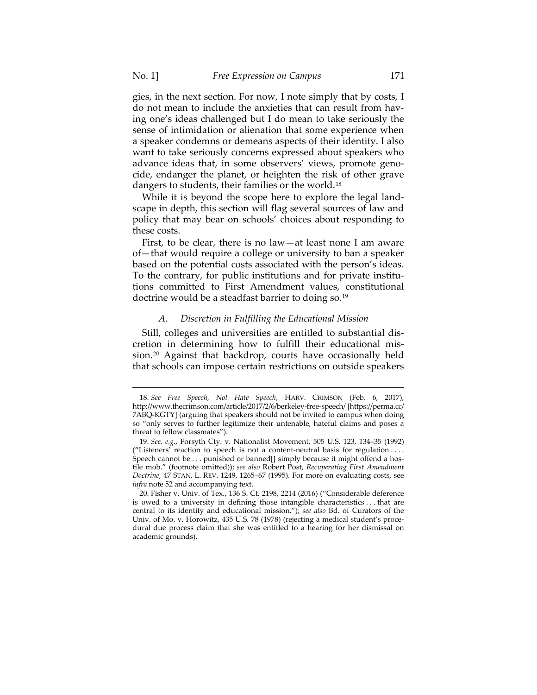gies, in the next section. For now, I note simply that by costs, I do not mean to include the anxieties that can result from having one's ideas challenged but I do mean to take seriously the sense of intimidation or alienation that some experience when a speaker condemns or demeans aspects of their identity. I also want to take seriously concerns expressed about speakers who advance ideas that, in some observers' views, promote genocide, endanger the planet, or heighten the risk of other grave dangers to students, their families or the world.<sup>[18](#page-8-0)</sup>

While it is beyond the scope here to explore the legal landscape in depth, this section will flag several sources of law and policy that may bear on schools' choices about responding to these costs.

First, to be clear, there is no law—at least none I am aware of—that would require a college or university to ban a speaker based on the potential costs associated with the person's ideas. To the contrary, for public institutions and for private institutions committed to First Amendment values, constitutional doctrine would be a steadfast barrier to doing so.<sup>[19](#page-8-1)</sup>

## *A. Discretion in Fulfilling the Educational Mission*

Still, colleges and universities are entitled to substantial discretion in determining how to fulfill their educational mis-sion.<sup>[20](#page-8-2)</sup> Against that backdrop, courts have occasionally held that schools can impose certain restrictions on outside speakers

<span id="page-8-0"></span><sup>18.</sup> *See Free Speech, Not Hate Speech*, HARV. CRIMSON (Feb. 6, 2017), http://www.thecrimson.com/article/2017/2/6/berkeley-free-speech/ [https://perma.cc/ 7ABQ-KGTY] (arguing that speakers should not be invited to campus when doing so "only serves to further legitimize their untenable, hateful claims and poses a threat to fellow classmates").

<span id="page-8-1"></span><sup>19.</sup> *See, e.g.*, Forsyth Cty. v. Nationalist Movement, 505 U.S. 123, 134–35 (1992) ("Listeners' reaction to speech is not a content-neutral basis for regulation . . . . Speech cannot be . . . punished or banned[] simply because it might offend a hostile mob." (footnote omitted)); *see also* Robert Post, *Recuperating First Amendment Doctrine*, 47 STAN. L. REV. 1249, 1265–67 (1995). For more on evaluating costs, see *infra* note 52 and accompanying text.

<span id="page-8-2"></span><sup>20.</sup> Fisher v. Univ. of Tex., 136 S. Ct. 2198, 2214 (2016) ("Considerable deference is owed to a university in defining those intangible characteristics . . . that are central to its identity and educational mission."); *see also* Bd. of Curators of the Univ. of Mo. v. Horowitz, 435 U.S. 78 (1978) (rejecting a medical student's procedural due process claim that she was entitled to a hearing for her dismissal on academic grounds).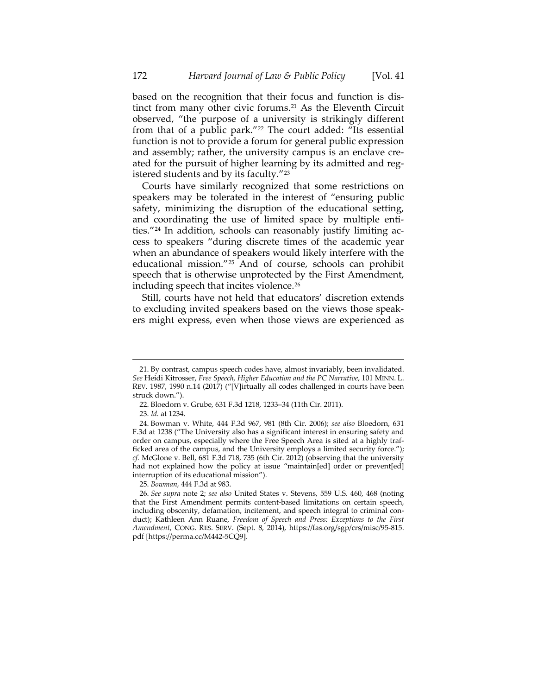based on the recognition that their focus and function is distinct from many other civic forums.[21](#page-9-1) As the Eleventh Circuit observed, "the purpose of a university is strikingly different from that of a public park."[22](#page-9-2) The court added: "Its essential function is not to provide a forum for general public expression and assembly; rather, the university campus is an enclave created for the pursuit of higher learning by its admitted and registered students and by its faculty."[23](#page-9-3)

Courts have similarly recognized that some restrictions on speakers may be tolerated in the interest of "ensuring public safety, minimizing the disruption of the educational setting, and coordinating the use of limited space by multiple entities."[24](#page-9-4) In addition, schools can reasonably justify limiting access to speakers "during discrete times of the academic year when an abundance of speakers would likely interfere with the educational mission."[25](#page-9-5) And of course, schools can prohibit speech that is otherwise unprotected by the First Amendment, including speech that incites violence.<sup>[26](#page-9-6)</sup>

<span id="page-9-0"></span>Still, courts have not held that educators' discretion extends to excluding invited speakers based on the views those speakers might express, even when those views are experienced as

<span id="page-9-1"></span><sup>21.</sup> By contrast, campus speech codes have, almost invariably, been invalidated. *See* Heidi Kitrosser, *Free Speech, Higher Education and the PC Narrative*, 101 MINN. L. REV. 1987, 1990 n.14 (2017) ("[V]irtually all codes challenged in courts have been struck down.").

<sup>22.</sup> Bloedorn v. Grube, 631 F.3d 1218, 1233–34 (11th Cir. 2011).

<sup>23.</sup> *Id.* at 1234.

<span id="page-9-4"></span><span id="page-9-3"></span><span id="page-9-2"></span><sup>24.</sup> Bowman v. White, 444 F.3d 967, 981 (8th Cir. 2006); *see also* Bloedorn, 631 F.3d at 1238 ("The University also has a significant interest in ensuring safety and order on campus, especially where the Free Speech Area is sited at a highly trafficked area of the campus, and the University employs a limited security force."); *cf.* McGlone v. Bell, 681 F.3d 718, 735 (6th Cir. 2012) (observing that the university had not explained how the policy at issue "maintain[ed] order or prevent[ed] interruption of its educational mission").

<sup>25.</sup> *Bowman*, 444 F.3d at 983.

<span id="page-9-6"></span><span id="page-9-5"></span><sup>26.</sup> *See supra* note [2;](#page-2-2) *see also* United States v. Stevens, 559 U.S. 460, 468 (noting that the First Amendment permits content-based limitations on certain speech, including obscenity, defamation, incitement, and speech integral to criminal conduct); Kathleen Ann Ruane, *Freedom of Speech and Press: Exceptions to the First Amendment*, CONG. RES. SERV. (Sept. 8, 2014), https://fas.org/sgp/crs/misc/95-815. pdf [https://perma.cc/M442-5CQ9].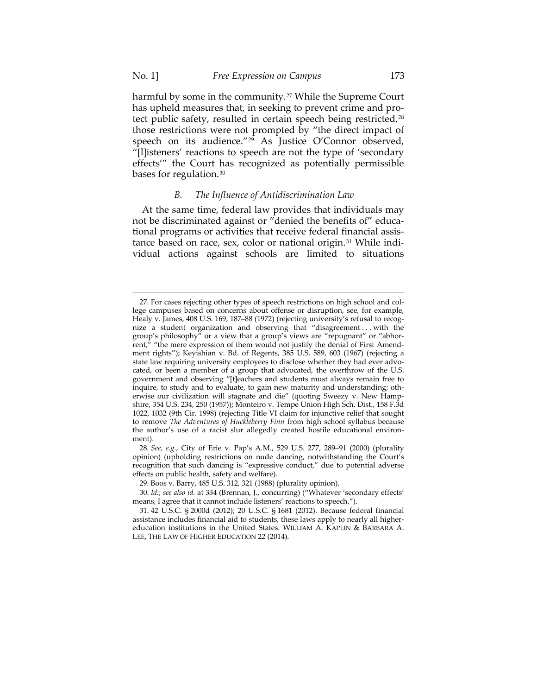harmful by some in the community.<sup>[27](#page-10-0)</sup> While the Supreme Court has upheld measures that, in seeking to prevent crime and pro-tect public safety, resulted in certain speech being restricted,<sup>[28](#page-10-1)</sup> those restrictions were not prompted by "the direct impact of speech on its audience."[29](#page-10-2) As Justice O'Connor observed, "[l]isteners' reactions to speech are not the type of 'secondary effects'" the Court has recognized as potentially permissible bases for regulation.[30](#page-10-3)

### *B. The Influence of Antidiscrimination Law*

At the same time, federal law provides that individuals may not be discriminated against or "denied the benefits of" educational programs or activities that receive federal financial assistance based on race, sex, color or national origin.[31](#page-10-4) While individual actions against schools are limited to situations

<span id="page-10-0"></span><sup>27.</sup> For cases rejecting other types of speech restrictions on high school and college campuses based on concerns about offense or disruption, see, for example, Healy v. James, 408 U.S. 169, 187–88 (1972) (rejecting university's refusal to recognize a student organization and observing that "disagreement . . . with the group's philosophy" or a view that a group's views are "repugnant" or "abhorrent," "the mere expression of them would not justify the denial of First Amendment rights"); Keyishian v. Bd. of Regents, 385 U.S. 589, 603 (1967) (rejecting a state law requiring university employees to disclose whether they had ever advocated, or been a member of a group that advocated, the overthrow of the U.S. government and observing "[t]eachers and students must always remain free to inquire, to study and to evaluate, to gain new maturity and understanding; otherwise our civilization will stagnate and die" (quoting Sweezy v. New Hampshire, 354 U.S. 234, 250 (1957)); Monteiro v. Tempe Union High Sch. Dist., 158 F.3d 1022, 1032 (9th Cir. 1998) (rejecting Title VI claim for injunctive relief that sought to remove *The Adventures of Huckleberry Finn* from high school syllabus because the author's use of a racist slur allegedly created hostile educational environment).

<span id="page-10-1"></span><sup>28.</sup> *See, e.g.*, City of Erie v. Pap's A.M., 529 U.S. 277, 289–91 (2000) (plurality opinion) (upholding restrictions on nude dancing, notwithstanding the Court's recognition that such dancing is "expressive conduct," due to potential adverse effects on public health, safety and welfare).

<sup>29.</sup> Boos v. Barry, 485 U.S. 312, 321 (1988) (plurality opinion).

<span id="page-10-3"></span><span id="page-10-2"></span><sup>30.</sup> *Id.*; *see also id.* at 334 (Brennan, J., concurring) ("Whatever 'secondary effects' means, I agree that it cannot include listeners' reactions to speech.").

<span id="page-10-4"></span><sup>31.</sup> 42 U.S.C. § 2000d (2012); 20 U.S.C. § 1681 (2012). Because federal financial assistance includes financial aid to students, these laws apply to nearly all highereducation institutions in the United States. WILLIAM A. KAPLIN & BARBARA A. LEE, THE LAW OF HIGHER EDUCATION 22 (2014).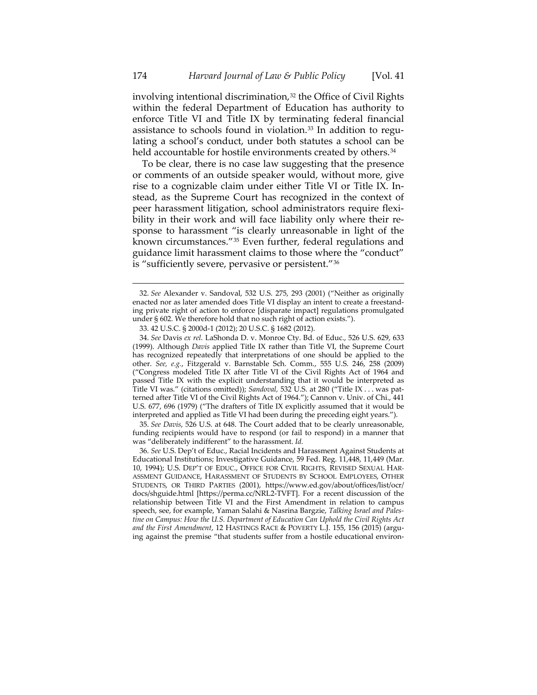involving intentional discrimination, $32$  the Office of Civil Rights within the federal Department of Education has authority to enforce Title VI and Title IX by terminating federal financial assistance to schools found in violation.[33](#page-11-1) In addition to regulating a school's conduct, under both statutes a school can be held accountable for hostile environments created by others.<sup>[34](#page-11-2)</sup>

To be clear, there is no case law suggesting that the presence or comments of an outside speaker would, without more, give rise to a cognizable claim under either Title VI or Title IX. Instead, as the Supreme Court has recognized in the context of peer harassment litigation, school administrators require flexibility in their work and will face liability only where their response to harassment "is clearly unreasonable in light of the known circumstances."[35](#page-11-3) Even further, federal regulations and guidance limit harassment claims to those where the "conduct" is "sufficiently severe, pervasive or persistent."[36](#page-11-4)

 $\overline{a}$ 

<span id="page-11-3"></span>35. *See Davis*, 526 U.S. at 648. The Court added that to be clearly unreasonable, funding recipients would have to respond (or fail to respond) in a manner that was "deliberately indifferent" to the harassment. *Id.*

<span id="page-11-4"></span>36. *See* U.S. Dep't of Educ., Racial Incidents and Harassment Against Students at Educational Institutions; Investigative Guidance, 59 Fed. Reg. 11,448, 11,449 (Mar. 10, 1994); U.S. DEP'T OF EDUC., OFFICE FOR CIVIL RIGHTS, REVISED SEXUAL HAR-ASSMENT GUIDANCE, HARASSMENT OF STUDENTS BY SCHOOL EMPLOYEES, OTHER STUDENTS, OR THIRD PARTIES (2001), https://www.ed.gov/about/offices/list/ocr/ docs/shguide.html [https://perma.cc/NRL2-TVFT]. For a recent discussion of the relationship between Title VI and the First Amendment in relation to campus speech, see, for example, Yaman Salahi & Nasrina Bargzie, *Talking Israel and Palestine on Campus: How the U.S. Department of Education Can Uphold the Civil Rights Act and the First Amendment*, 12 HASTINGS RACE & POVERTY L.J. 155, 156 (2015) (arguing against the premise "that students suffer from a hostile educational environ-

<span id="page-11-0"></span><sup>32.</sup> *See* Alexander v. Sandoval, 532 U.S. 275, 293 (2001) ("Neither as originally enacted nor as later amended does Title VI display an intent to create a freestanding private right of action to enforce [disparate impact] regulations promulgated under § 602. We therefore hold that no such right of action exists.").

<sup>33.</sup> 42 U.S.C. § 2000d-1 (2012); 20 U.S.C. § 1682 (2012).

<span id="page-11-2"></span><span id="page-11-1"></span><sup>34.</sup> *See* Davis *ex rel.* LaShonda D. v. Monroe Cty. Bd. of Educ., 526 U.S. 629, 633 (1999). Although *Davis* applied Title IX rather than Title VI, the Supreme Court has recognized repeatedly that interpretations of one should be applied to the other. *See, e.g.*, Fitzgerald v. Barnstable Sch. Comm., 555 U.S. 246, 258 (2009) ("Congress modeled Title IX after Title VI of the Civil Rights Act of 1964 and passed Title IX with the explicit understanding that it would be interpreted as Title VI was." (citations omitted)); *Sandoval,* 532 U.S. at 280 ("Title IX . . . was patterned after Title VI of the Civil Rights Act of 1964."); Cannon v. Univ. of Chi., 441 U.S. 677, 696 (1979) ("The drafters of Title IX explicitly assumed that it would be interpreted and applied as Title VI had been during the preceding eight years.").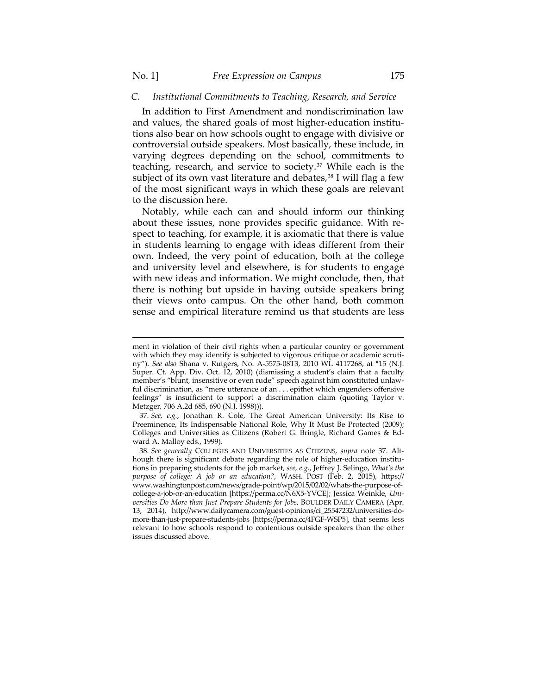### *C. Institutional Commitments to Teaching, Research, and Service*

In addition to First Amendment and nondiscrimination law and values, the shared goals of most higher-education institutions also bear on how schools ought to engage with divisive or controversial outside speakers. Most basically, these include, in varying degrees depending on the school, commitments to teaching, research, and service to society.[37](#page-12-0) While each is the subject of its own vast literature and debates, $38$  I will flag a few of the most significant ways in which these goals are relevant to the discussion here.

Notably, while each can and should inform our thinking about these issues, none provides specific guidance. With respect to teaching, for example, it is axiomatic that there is value in students learning to engage with ideas different from their own. Indeed, the very point of education, both at the college and university level and elsewhere, is for students to engage with new ideas and information. We might conclude, then, that there is nothing but upside in having outside speakers bring their views onto campus. On the other hand, both common sense and empirical literature remind us that students are less

ment in violation of their civil rights when a particular country or government with which they may identify is subjected to vigorous critique or academic scrutiny"). *See also* Shana v. Rutgers, No. A-5575-08T3, 2010 WL 4117268, at \*15 (N.J. Super. Ct. App. Div. Oct. 12, 2010) (dismissing a student's claim that a faculty member's "blunt, insensitive or even rude" speech against him constituted unlawful discrimination, as "mere utterance of an . . . epithet which engenders offensive feelings" is insufficient to support a discrimination claim (quoting Taylor v. Metzger*,* 706 A.2d 685, 690 (N.J. 1998))).

<span id="page-12-0"></span><sup>37.</sup> *See, e.g.*, Jonathan R. Cole, The Great American University: Its Rise to Preeminence, Its Indispensable National Role, Why It Must Be Protected (2009); Colleges and Universities as Citizens (Robert G. Bringle, Richard Games & Edward A. Malloy eds., 1999).

<span id="page-12-1"></span><sup>38.</sup> *See generally* COLLEGES AND UNIVERSITIES AS CITIZENS, *supra* note 37. Although there is significant debate regarding the role of higher-education institutions in preparing students for the job market, *see, e.g.*, Jeffrey J. Selingo, *What's the purpose of college: A job or an education?*, WASH. POST (Feb. 2, 2015), https:// www.washingtonpost.com/news/grade-point/wp/2015/02/02/whats-the-purpose-ofcollege-a-job-or-an-education [https://perma.cc/N6X5-YVCE]; Jessica Weinkle, *Universities Do More than Just Prepare Students for Jobs*, BOULDER DAILY CAMERA (Apr. 13, 2014), http://www.dailycamera.com/guest-opinions/ci\_25547232/universities-domore-than-just-prepare-students-jobs [https://perma.cc/4FGF-WSP5], that seems less relevant to how schools respond to contentious outside speakers than the other issues discussed above.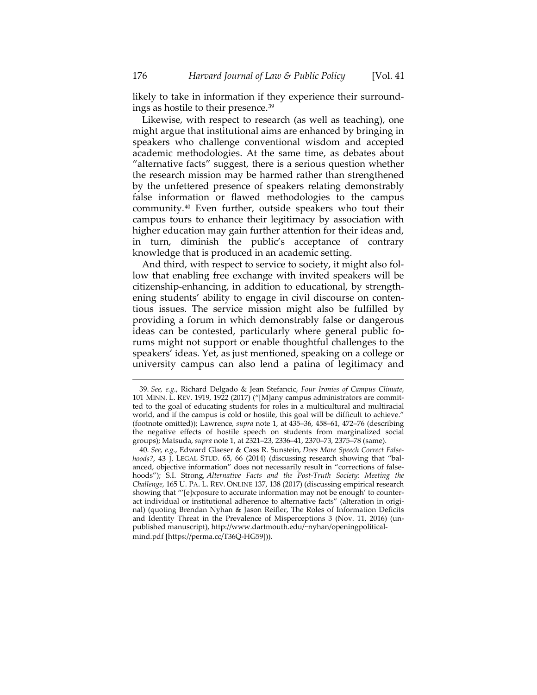likely to take in information if they experience their surroundings as hostile to their presence.[39](#page-13-0)

Likewise, with respect to research (as well as teaching), one might argue that institutional aims are enhanced by bringing in speakers who challenge conventional wisdom and accepted academic methodologies. At the same time, as debates about "alternative facts" suggest, there is a serious question whether the research mission may be harmed rather than strengthened by the unfettered presence of speakers relating demonstrably false information or flawed methodologies to the campus community.[40](#page-13-1) Even further, outside speakers who tout their campus tours to enhance their legitimacy by association with higher education may gain further attention for their ideas and, in turn, diminish the public's acceptance of contrary knowledge that is produced in an academic setting.

And third, with respect to service to society, it might also follow that enabling free exchange with invited speakers will be citizenship-enhancing, in addition to educational, by strengthening students' ability to engage in civil discourse on contentious issues. The service mission might also be fulfilled by providing a forum in which demonstrably false or dangerous ideas can be contested, particularly where general public forums might not support or enable thoughtful challenges to the speakers' ideas. Yet, as just mentioned, speaking on a college or university campus can also lend a patina of legitimacy and

<span id="page-13-0"></span><sup>39.</sup> *See, e.g.*, Richard Delgado & Jean Stefancic, *Four Ironies of Campus Climate*, 101 MINN. L. REV. 1919, 1922 (2017) ("[M]any campus administrators are committed to the goal of educating students for roles in a multicultural and multiracial world, and if the campus is cold or hostile, this goal will be difficult to achieve." (footnote omitted)); Lawrence*, supra* note 1, at 435–36, 458–61, 472–76 (describing the negative effects of hostile speech on students from marginalized social groups); Matsuda, *supra* note 1, at 2321–23, 2336–41, 2370–73, 2375–78 (same).

<span id="page-13-1"></span><sup>40.</sup> *See, e.g.*, Edward Glaeser & Cass R. Sunstein, *Does More Speech Correct Falsehoods?*, 43 J. LEGAL STUD. 65, 66 (2014) (discussing research showing that "balanced, objective information" does not necessarily result in "corrections of falsehoods"); S.I. Strong, *Alternative Facts and the Post-Truth Society: Meeting the Challenge*, 165 U. PA. L. REV. ONLINE 137, 138 (2017) (discussing empirical research showing that "'[e]xposure to accurate information may not be enough' to counteract individual or institutional adherence to alternative facts" (alteration in original) (quoting Brendan Nyhan & Jason Reifler, The Roles of Information Deficits and Identity Threat in the Prevalence of Misperceptions 3 (Nov. 11, 2016) (unpublished manuscript), http://www.dartmouth.edu/~nyhan/openingpoliticalmind.pdf [https://perma.cc/T36Q-HG59])).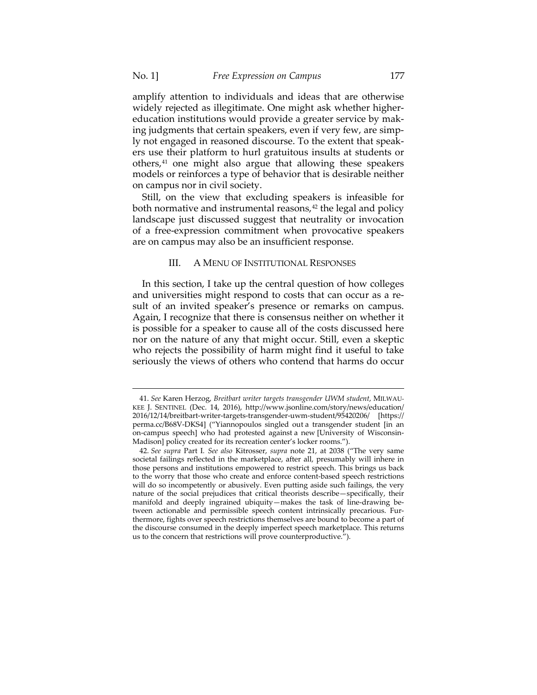amplify attention to individuals and ideas that are otherwise widely rejected as illegitimate. One might ask whether highereducation institutions would provide a greater service by making judgments that certain speakers, even if very few, are simply not engaged in reasoned discourse. To the extent that speakers use their platform to hurl gratuitous insults at students or others,[41](#page-14-0) one might also argue that allowing these speakers models or reinforces a type of behavior that is desirable neither on campus nor in civil society.

Still, on the view that excluding speakers is infeasible for both normative and instrumental reasons, $42$  the legal and policy landscape just discussed suggest that neutrality or invocation of a free-expression commitment when provocative speakers are on campus may also be an insufficient response.

#### III. A MENU OF INSTITUTIONAL RESPONSES

In this section, I take up the central question of how colleges and universities might respond to costs that can occur as a result of an invited speaker's presence or remarks on campus. Again, I recognize that there is consensus neither on whether it is possible for a speaker to cause all of the costs discussed here nor on the nature of any that might occur. Still, even a skeptic who rejects the possibility of harm might find it useful to take seriously the views of others who contend that harms do occur

<span id="page-14-0"></span><sup>41.</sup> *See* Karen Herzog, *Breitbart writer targets transgender UWM student*, MILWAU-KEE J. SENTINEL (Dec. 14, 2016), http://www.jsonline.com/story/news/education/ 2016/12/14/breitbart-writer-targets-transgender-uwm-student/95420206/ [https:// perma.cc/B68V-DKS4] ("Yiannopoulos singled out a transgender student [in an on-campus speech] who had protested against a new [University of Wisconsin-Madison] policy created for its recreation center's locker rooms.").

<span id="page-14-1"></span><sup>42.</sup> *See supra* Part I*. See also* Kitrosser, *supra* note 21, at 2038 ("The very same societal failings reflected in the marketplace, after all, presumably will inhere in those persons and institutions empowered to restrict speech. This brings us back to the worry that those who create and enforce content-based speech restrictions will do so incompetently or abusively. Even putting aside such failings, the very nature of the social prejudices that critical theorists describe—specifically, their manifold and deeply ingrained ubiquity—makes the task of line-drawing between actionable and permissible speech content intrinsically precarious. Furthermore, fights over speech restrictions themselves are bound to become a part of the discourse consumed in the deeply imperfect speech marketplace. This returns us to the concern that restrictions will prove counterproductive.").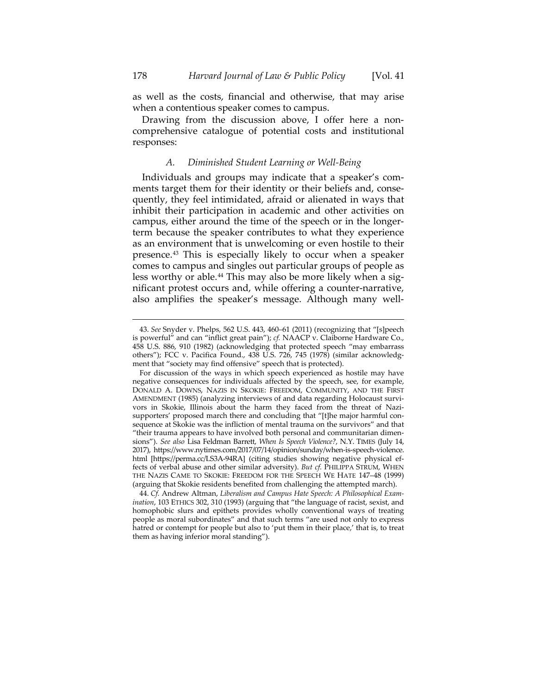as well as the costs, financial and otherwise, that may arise when a contentious speaker comes to campus.

Drawing from the discussion above, I offer here a noncomprehensive catalogue of potential costs and institutional responses:

# *A. Diminished Student Learning or Well-Being*

Individuals and groups may indicate that a speaker's comments target them for their identity or their beliefs and, consequently, they feel intimidated, afraid or alienated in ways that inhibit their participation in academic and other activities on campus, either around the time of the speech or in the longerterm because the speaker contributes to what they experience as an environment that is unwelcoming or even hostile to their presence.[43](#page-15-0) This is especially likely to occur when a speaker comes to campus and singles out particular groups of people as less worthy or able.<sup>[44](#page-15-1)</sup> This may also be more likely when a significant protest occurs and, while offering a counter-narrative, also amplifies the speaker's message. Although many well-

<span id="page-15-0"></span><sup>43.</sup> *See* Snyder v. Phelps, 562 U.S. 443, 460–61 (2011) (recognizing that "[s]peech is powerful" and can "inflict great pain"); *cf.* NAACP v. Claiborne Hardware Co., 458 U.S. 886, 910 (1982) (acknowledging that protected speech "may embarrass others"); FCC v. Pacifica Found., 438 U.S. 726, 745 (1978) (similar acknowledgment that "society may find offensive" speech that is protected).

For discussion of the ways in which speech experienced as hostile may have negative consequences for individuals affected by the speech, see, for example, DONALD A. DOWNS, NAZIS IN SKOKIE: FREEDOM, COMMUNITY, AND THE FIRST AMENDMENT (1985) (analyzing interviews of and data regarding Holocaust survivors in Skokie, Illinois about the harm they faced from the threat of Nazisupporters' proposed march there and concluding that "[t]he major harmful consequence at Skokie was the infliction of mental trauma on the survivors" and that "their trauma appears to have involved both personal and communitarian dimensions"). *See also* Lisa Feldman Barrett, *When Is Speech Violence?*, N.Y. TIMES (July 14, 2017), https://www.nytimes.com/2017/07/14/opinion/sunday/when-is-speech-violence. html [https://perma.cc/LS3A-94RA] (citing studies showing negative physical effects of verbal abuse and other similar adversity). *But cf.* PHILIPPA STRUM, WHEN THE NAZIS CAME TO SKOKIE: FREEDOM FOR THE SPEECH WE HATE 147–48 (1999) (arguing that Skokie residents benefited from challenging the attempted march).

<span id="page-15-1"></span><sup>44.</sup> *Cf.* Andrew Altman, *Liberalism and Campus Hate Speech: A Philosophical Examination*, 103 ETHICS 302, 310 (1993) (arguing that "the language of racist, sexist, and homophobic slurs and epithets provides wholly conventional ways of treating people as moral subordinates" and that such terms "are used not only to express hatred or contempt for people but also to 'put them in their place,' that is, to treat them as having inferior moral standing").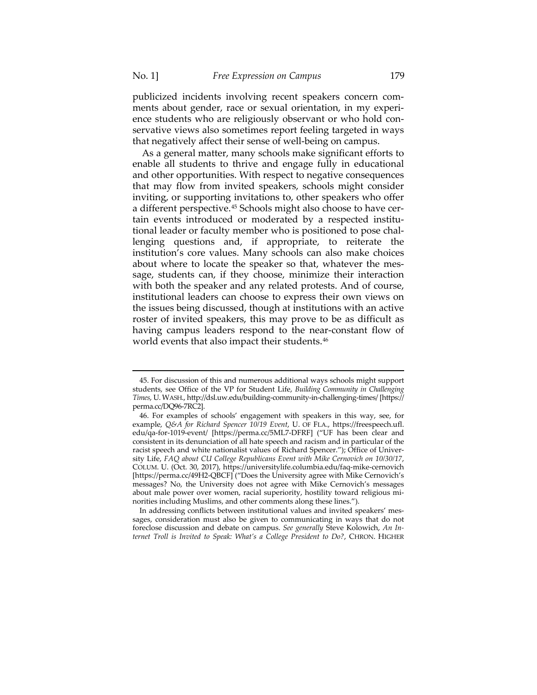publicized incidents involving recent speakers concern comments about gender, race or sexual orientation, in my experience students who are religiously observant or who hold conservative views also sometimes report feeling targeted in ways that negatively affect their sense of well-being on campus.

As a general matter, many schools make significant efforts to enable all students to thrive and engage fully in educational and other opportunities. With respect to negative consequences that may flow from invited speakers, schools might consider inviting, or supporting invitations to, other speakers who offer a different perspective.<sup>[45](#page-16-0)</sup> Schools might also choose to have certain events introduced or moderated by a respected institutional leader or faculty member who is positioned to pose challenging questions and, if appropriate, to reiterate the institution's core values. Many schools can also make choices about where to locate the speaker so that, whatever the message, students can, if they choose, minimize their interaction with both the speaker and any related protests. And of course, institutional leaders can choose to express their own views on the issues being discussed, though at institutions with an active roster of invited speakers, this may prove to be as difficult as having campus leaders respond to the near-constant flow of world events that also impact their students.<sup>[46](#page-16-1)</sup>

<span id="page-16-2"></span> $\overline{a}$ 

In addressing conflicts between institutional values and invited speakers' messages, consideration must also be given to communicating in ways that do not foreclose discussion and debate on campus. *See generally* Steve Kolowich, *An Internet Troll is Invited to Speak: What's a College President to Do?*, CHRON. HIGHER

<span id="page-16-0"></span><sup>45.</sup> For discussion of this and numerous additional ways schools might support students, see Office of the VP for Student Life, *Building Community in Challenging Times*, U.WASH., http://dsl.uw.edu/building-community-in-challenging-times/ [https:// perma.cc/DQ96-7RC2].

<span id="page-16-1"></span><sup>46.</sup> For examples of schools' engagement with speakers in this way, see, for example, *Q&A for Richard Spencer 10/19 Event*, U. OF FLA., https://freespeech.ufl. edu/qa-for-1019-event/ [https://perma.cc/5ML7-DFRF] ("UF has been clear and consistent in its denunciation of all hate speech and racism and in particular of the racist speech and white nationalist values of Richard Spencer."); Office of University Life, *FAQ about CU College Republicans Event with Mike Cernovich on 10/30/17*, COLUM. U. (Oct. 30, 2017), https://universitylife.columbia.edu/faq-mike-cernovich [https://perma.cc/49H2-QBCF] ("Does the University agree with Mike Cernovich's messages? No, the University does not agree with Mike Cernovich's messages about male power over women, racial superiority, hostility toward religious minorities including Muslims, and other comments along these lines.").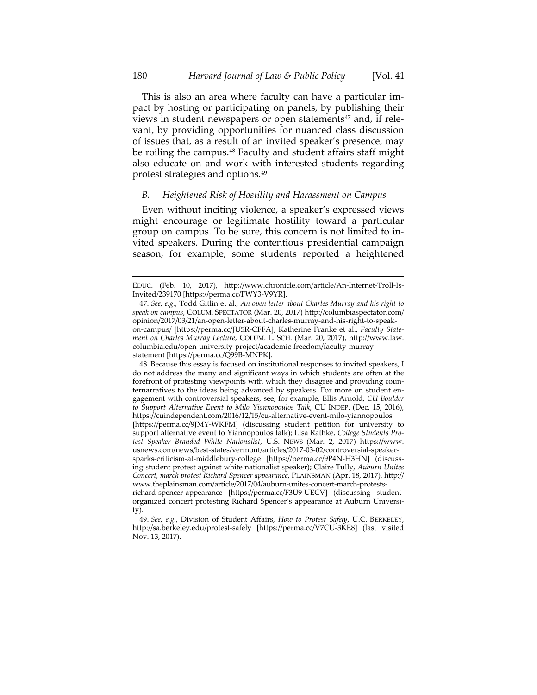This is also an area where faculty can have a particular impact by hosting or participating on panels, by publishing their views in student newspapers or open statements<sup>[47](#page-17-0)</sup> and, if relevant, by providing opportunities for nuanced class discussion of issues that, as a result of an invited speaker's presence, may be roiling the campus.<sup>[48](#page-17-1)</sup> Faculty and student affairs staff might also educate on and work with interested students regarding protest strategies and options.[49](#page-17-2)

## *B. Heightened Risk of Hostility and Harassment on Campus*

Even without inciting violence, a speaker's expressed views might encourage or legitimate hostility toward a particular group on campus. To be sure, this concern is not limited to invited speakers. During the contentious presidential campaign season, for example, some students reported a heightened

<span id="page-17-1"></span>48. Because this essay is focused on institutional responses to invited speakers, I do not address the many and significant ways in which students are often at the forefront of protesting viewpoints with which they disagree and providing counternarratives to the ideas being advanced by speakers. For more on student engagement with controversial speakers, see, for example, Ellis Arnold, *CU Boulder to Support Alternative Event to Milo Yiannopoulos Talk*, CU INDEP. (Dec. 15, 2016), https://cuindependent.com/2016/12/15/cu-alternative-event-milo-yiannopoulos [https://perma.cc/9JMY-WKFM] (discussing student petition for university to support alternative event to Yiannopoulos talk); Lisa Rathke, *College Students Protest Speaker Branded White Nationalist*, U.S. NEWS (Mar. 2, 2017) https://www. usnews.com/news/best-states/vermont/articles/2017-03-02/controversial-speakersparks-criticism-at-middlebury-college [https://perma.cc/9P4N-H3HN] (discussing student protest against white nationalist speaker); Claire Tully, *Auburn Unites Concert, march protest Richard Spencer appearance*, PLAINSMAN (Apr. 18, 2017), http:// www.theplainsman.com/article/2017/04/auburn-unites-concert-march-protestsrichard-spencer-appearance [https://perma.cc/F3U9-UECV] (discussing studentorganized concert protesting Richard Spencer's appearance at Auburn University).

EDUC. (Feb. 10, 2017), http://www.chronicle.com/article/An-Internet-Troll-Is-Invited/239170 [https://perma.cc/FWY3-V9YR].

<span id="page-17-0"></span><sup>47.</sup> *See, e.g.*, Todd Gitlin et al., *An open letter about Charles Murray and his right to speak on campus*, COLUM. SPECTATOR (Mar. 20, 2017) http://columbiaspectator.com/ opinion/2017/03/21/an-open-letter-about-charles-murray-and-his-right-to-speakon-campus/ [https://perma.cc/JU5R-CFFA]; Katherine Franke et al., *Faculty Statement on Charles Murray Lecture*, COLUM. L. SCH. (Mar. 20, 2017), http://www.law. columbia.edu/open-university-project/academic-freedom/faculty-murraystatement [https://perma.cc/Q99B-MNPK].

<span id="page-17-2"></span><sup>49.</sup> *See, e.g.*, Division of Student Affairs, *How to Protest Safely*, U.C. BERKELEY, http://sa.berkeley.edu/protest-safely [https://perma.cc/V7CU-3KE8] (last visited Nov. 13, 2017).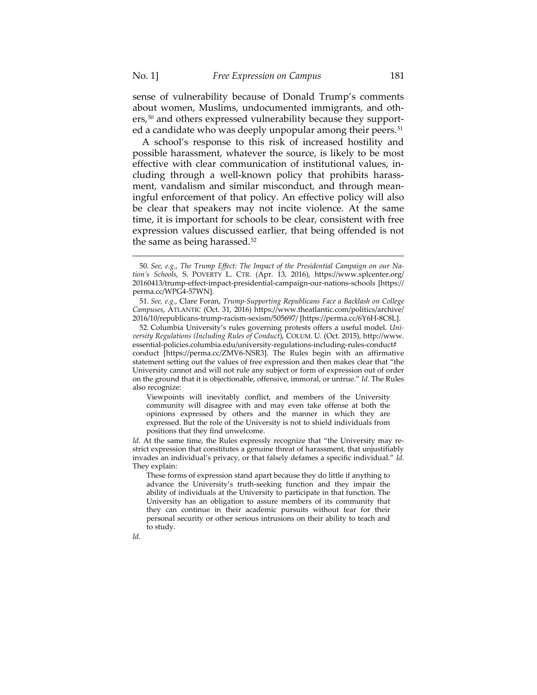sense of vulnerability because of Donald Trump's comments about women, Muslims, undocumented immigrants, and oth-ers,<sup>[50](#page-18-0)</sup> and others expressed vulnerability because they support-ed a candidate who was deeply unpopular among their peers.<sup>[51](#page-18-1)</sup>

A school's response to this risk of increased hostility and possible harassment, whatever the source, is likely to be most effective with clear communication of institutional values, including through a well-known policy that prohibits harassment, vandalism and similar misconduct, and through meaningful enforcement of that policy. An effective policy will also be clear that speakers may not incite violence. At the same time, it is important for schools to be clear, consistent with free expression values discussed earlier, that being offended is not the same as being harassed.<sup>[52](#page-18-2)</sup>

Viewpoints will inevitably conflict, and members of the University community will disagree with and may even take offense at both the opinions expressed by others and the manner in which they are expressed. But the role of the University is not to shield individuals from positions that they find unwelcome.

*Id.* At the same time, the Rules expressly recognize that "the University may restrict expression that constitutes a genuine threat of harassment, that unjustifiably invades an individual's privacy, or that falsely defames a specific individual." *Id.* They explain:

These forms of expression stand apart because they do little if anything to advance the University's truth-seeking function and they impair the ability of individuals at the University to participate in that function. The University has an obligation to assure members of its community that they can continue in their academic pursuits without fear for their personal security or other serious intrusions on their ability to teach and to study.

<span id="page-18-0"></span><sup>50.</sup> *See, e.g.*, *The Trump Effect: The Impact of the Presidential Campaign on our Nation's Schools*, S. POVERTY L. CTR. (Apr. 13, 2016), https://www.splcenter.org/ 20160413/trump-effect-impact-presidential-campaign-our-nations-schools [https:// perma.cc/WPG4-57WN].

<span id="page-18-1"></span><sup>51.</sup> *See, e.g.*, Clare Foran, *Trump-Supporting Republicans Face a Backlash on College Campuses*, ATLANTIC (Oct. 31, 2016) https://www.theatlantic.com/politics/archive/ 2016/10/republicans-trump-racism-sexism/505697/ [https://perma.cc/6Y6H-8C8L].

<span id="page-18-2"></span><sup>52.</sup> Columbia University's rules governing protests offers a useful model. *University Regulations (Including Rules of Conduct*), COLUM. U. (Oct. 2015), http://www. essential-policies.columbia.edu/university-regulations-including-rules-conduct# conduct [https://perma.cc/ZMV6-NSR3]. The Rules begin with an affirmative statement setting out the values of free expression and then makes clear that "the University cannot and will not rule any subject or form of expression out of order on the ground that it is objectionable, offensive, immoral, or untrue." *Id.* The Rules also recognize: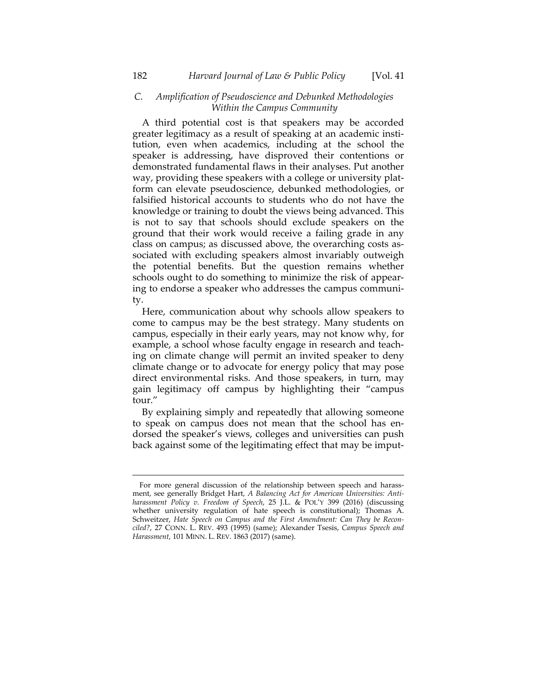# *C. Amplification of Pseudoscience and Debunked Methodologies Within the Campus Community*

A third potential cost is that speakers may be accorded greater legitimacy as a result of speaking at an academic institution, even when academics, including at the school the speaker is addressing, have disproved their contentions or demonstrated fundamental flaws in their analyses. Put another way, providing these speakers with a college or university platform can elevate pseudoscience, debunked methodologies, or falsified historical accounts to students who do not have the knowledge or training to doubt the views being advanced. This is not to say that schools should exclude speakers on the ground that their work would receive a failing grade in any class on campus; as discussed above, the overarching costs associated with excluding speakers almost invariably outweigh the potential benefits. But the question remains whether schools ought to do something to minimize the risk of appearing to endorse a speaker who addresses the campus community.

Here, communication about why schools allow speakers to come to campus may be the best strategy. Many students on campus, especially in their early years, may not know why, for example, a school whose faculty engage in research and teaching on climate change will permit an invited speaker to deny climate change or to advocate for energy policy that may pose direct environmental risks. And those speakers, in turn, may gain legitimacy off campus by highlighting their "campus tour."

By explaining simply and repeatedly that allowing someone to speak on campus does not mean that the school has endorsed the speaker's views, colleges and universities can push back against some of the legitimating effect that may be imput-

For more general discussion of the relationship between speech and harassment, see generally Bridget Hart, *A Balancing Act for American Universities: Antiharassment Policy v. Freedom of Speech*, 25 J.L. & POL'Y 399 (2016) (discussing whether university regulation of hate speech is constitutional); Thomas A. Schweitzer, *Hate Speech on Campus and the First Amendment: Can They be Reconciled?*, 27 CONN. L. REV. 493 (1995) (same); Alexander Tsesis, *Campus Speech and Harassment*, 101 MINN. L. REV. 1863 (2017) (same).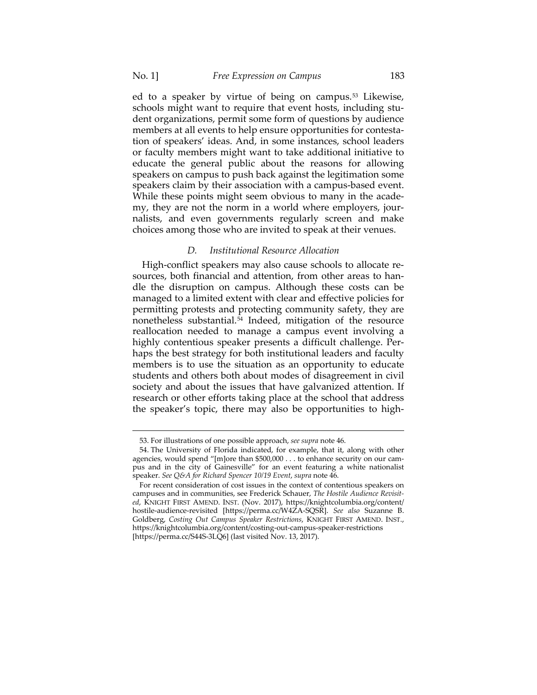ed to a speaker by virtue of being on campus.<sup>[53](#page-20-0)</sup> Likewise, schools might want to require that event hosts, including student organizations, permit some form of questions by audience members at all events to help ensure opportunities for contestation of speakers' ideas. And, in some instances, school leaders or faculty members might want to take additional initiative to educate the general public about the reasons for allowing speakers on campus to push back against the legitimation some speakers claim by their association with a campus-based event. While these points might seem obvious to many in the academy, they are not the norm in a world where employers, journalists, and even governments regularly screen and make choices among those who are invited to speak at their venues.

#### *D. Institutional Resource Allocation*

High-conflict speakers may also cause schools to allocate resources, both financial and attention, from other areas to handle the disruption on campus. Although these costs can be managed to a limited extent with clear and effective policies for permitting protests and protecting community safety, they are nonetheless substantial.<sup>[54](#page-20-1)</sup> Indeed, mitigation of the resource reallocation needed to manage a campus event involving a highly contentious speaker presents a difficult challenge. Perhaps the best strategy for both institutional leaders and faculty members is to use the situation as an opportunity to educate students and others both about modes of disagreement in civil society and about the issues that have galvanized attention. If research or other efforts taking place at the school that address the speaker's topic, there may also be opportunities to high-

<sup>53.</sup> For illustrations of one possible approach, *see supra* note [46.](#page-16-2) 

<span id="page-20-1"></span><span id="page-20-0"></span><sup>54.</sup> The University of Florida indicated, for example, that it, along with other agencies, would spend "[m]ore than \$500,000 . . . to enhance security on our campus and in the city of Gainesville" for an event featuring a white nationalist speaker. *See Q&A for Richard Spencer 10/19 Event*, *supra* note 46.

For recent consideration of cost issues in the context of contentious speakers on campuses and in communities, see Frederick Schauer, *The Hostile Audience Revisited*, KNIGHT FIRST AMEND. INST. (Nov. 2017), https://knightcolumbia.org/content/ hostile-audience-revisited [https://perma.cc/W4ZA-SQSR]. *See also* Suzanne B. Goldberg, *Costing Out Campus Speaker Restrictions*, KNIGHT FIRST AMEND. INST., https://knightcolumbia.org/content/costing-out-campus-speaker-restrictions [https://perma.cc/S44S-3LQ6] (last visited Nov. 13, 2017).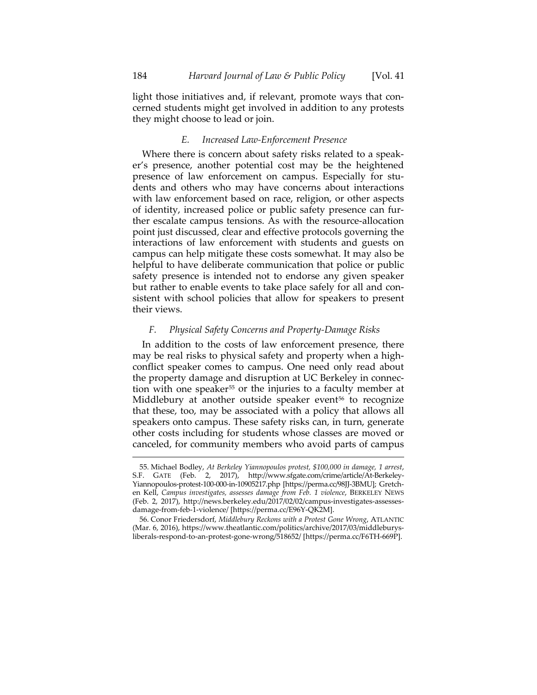light those initiatives and, if relevant, promote ways that concerned students might get involved in addition to any protests they might choose to lead or join.

# *E. Increased Law-Enforcement Presence*

Where there is concern about safety risks related to a speaker's presence, another potential cost may be the heightened presence of law enforcement on campus. Especially for students and others who may have concerns about interactions with law enforcement based on race, religion, or other aspects of identity, increased police or public safety presence can further escalate campus tensions. As with the resource-allocation point just discussed, clear and effective protocols governing the interactions of law enforcement with students and guests on campus can help mitigate these costs somewhat. It may also be helpful to have deliberate communication that police or public safety presence is intended not to endorse any given speaker but rather to enable events to take place safely for all and consistent with school policies that allow for speakers to present their views.

#### *F. Physical Safety Concerns and Property-Damage Risks*

In addition to the costs of law enforcement presence, there may be real risks to physical safety and property when a highconflict speaker comes to campus. One need only read about the property damage and disruption at UC Berkeley in connec-tion with one speaker<sup>[55](#page-21-0)</sup> or the injuries to a faculty member at Middlebury at another outside speaker event<sup>[56](#page-21-1)</sup> to recognize that these, too, may be associated with a policy that allows all speakers onto campus. These safety risks can, in turn, generate other costs including for students whose classes are moved or canceled, for community members who avoid parts of campus

<span id="page-21-0"></span><sup>55.</sup> Michael Bodley, *At Berkeley Yiannopoulos protest, \$100,000 in damage, 1 arrest*, S.F. GATE (Feb. 2, 2017), http://www.sfgate.com/crime/article/At-Berkeley-Yiannopoulos-protest-100-000-in-10905217.php [https://perma.cc/98JJ-3BMU]; Gretchen Kell, *Campus investigates, assesses damage from Feb. 1 violence*, BERKELEY NEWS (Feb. 2, 2017), http://news.berkeley.edu/2017/02/02/campus-investigates-assessesdamage-from-feb-1-violence/ [https://perma.cc/E96Y-QK2M].

<span id="page-21-1"></span><sup>56.</sup> Conor Friedersdorf, *Middlebury Reckons with a Protest Gone Wrong*, ATLANTIC (Mar. 6, 2016), https://www.theatlantic.com/politics/archive/2017/03/middleburysliberals-respond-to-an-protest-gone-wrong/518652/ [https://perma.cc/F6TH-669P].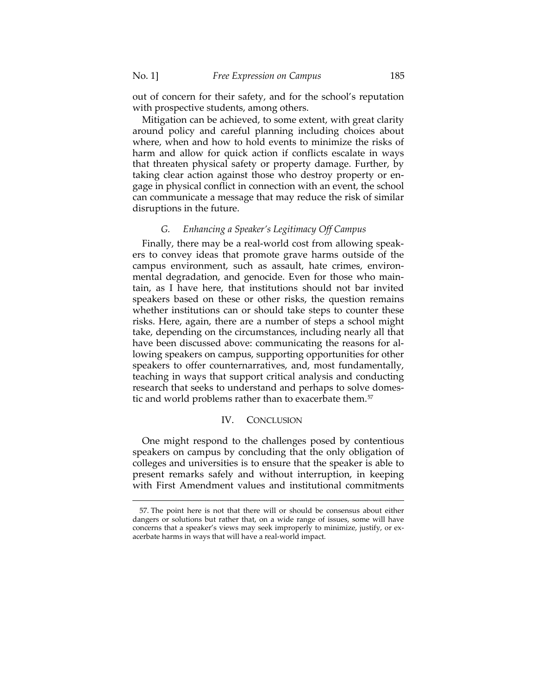out of concern for their safety, and for the school's reputation with prospective students, among others.

Mitigation can be achieved, to some extent, with great clarity around policy and careful planning including choices about where, when and how to hold events to minimize the risks of harm and allow for quick action if conflicts escalate in ways that threaten physical safety or property damage. Further, by taking clear action against those who destroy property or engage in physical conflict in connection with an event, the school can communicate a message that may reduce the risk of similar disruptions in the future.

#### *G. Enhancing a Speaker's Legitimacy Off Campus*

Finally, there may be a real-world cost from allowing speakers to convey ideas that promote grave harms outside of the campus environment, such as assault, hate crimes, environmental degradation, and genocide. Even for those who maintain, as I have here, that institutions should not bar invited speakers based on these or other risks, the question remains whether institutions can or should take steps to counter these risks. Here, again, there are a number of steps a school might take, depending on the circumstances, including nearly all that have been discussed above: communicating the reasons for allowing speakers on campus, supporting opportunities for other speakers to offer counternarratives, and, most fundamentally, teaching in ways that support critical analysis and conducting research that seeks to understand and perhaps to solve domes-tic and world problems rather than to exacerbate them.<sup>[57](#page-22-0)</sup>

#### IV. CONCLUSION

One might respond to the challenges posed by contentious speakers on campus by concluding that the only obligation of colleges and universities is to ensure that the speaker is able to present remarks safely and without interruption, in keeping with First Amendment values and institutional commitments

<span id="page-22-0"></span><sup>57.</sup> The point here is not that there will or should be consensus about either dangers or solutions but rather that, on a wide range of issues, some will have concerns that a speaker's views may seek improperly to minimize, justify, or exacerbate harms in ways that will have a real-world impact.